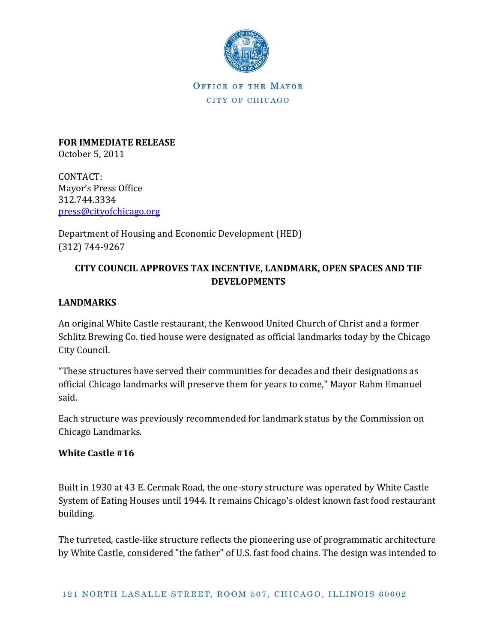

**FOR IMMEDIATE RELEASE** October 5, 2011

CONTACT: Mayor's Press Office 312.744.3334 [press@cityofchicago.org](mailto:press@cityofchicago.org)

Department of Housing and Economic Development (HED) (312) 744-9267

# **CITY COUNCIL APPROVES TAX INCENTIVE, LANDMARK, OPEN SPACES AND TIF DEVELOPMENTS**

## **LANDMARKS**

An original White Castle restaurant, the Kenwood United Church of Christ and a former Schlitz Brewing Co. tied house were designated as official landmarks today by the Chicago City Council.

"These structures have served their communities for decades and their designations as official Chicago landmarks will preserve them for years to come," Mayor Rahm Emanuel said.

Each structure was previously recommended for landmark status by the Commission on Chicago Landmarks.

## **White Castle #16**

Built in 1930 at 43 E. Cermak Road, the one-story structure was operated by White Castle System of Eating Houses until 1944. It remains Chicago's oldest known fast food restaurant building.

The turreted, castle-like structure reflects the pioneering use of programmatic architecture by White Castle, considered "the father" of U.S. fast food chains. The design was intended to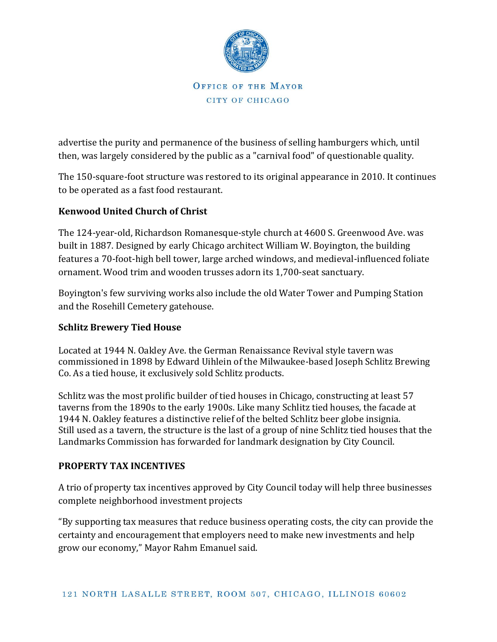

advertise the purity and permanence of the business of selling hamburgers which, until then, was largely considered by the public as a "carnival food" of questionable quality.

The 150-square-foot structure was restored to its original appearance in 2010. It continues to be operated as a fast food restaurant.

## **Kenwood United Church of Christ**

The 124-year-old, Richardson Romanesque-style church at 4600 S. Greenwood Ave. was built in 1887. Designed by early Chicago architect William W. Boyington, the building features a 70-foot-high bell tower, large arched windows, and medieval-influenced foliate ornament. Wood trim and wooden trusses adorn its 1,700-seat sanctuary.

Boyington's few surviving works also include the old Water Tower and Pumping Station and the Rosehill Cemetery gatehouse.

## **Schlitz Brewery Tied House**

Located at 1944 N. Oakley Ave. the German Renaissance Revival style tavern was commissioned in 1898 by Edward Uihlein of the Milwaukee-based Joseph Schlitz Brewing Co. As a tied house, it exclusively sold Schlitz products.

Schlitz was the most prolific builder of tied houses in Chicago, constructing at least 57 taverns from the 1890s to the early 1900s. Like many Schlitz tied houses, the facade at 1944 N. Oakley features a distinctive relief of the belted Schlitz beer globe insignia. Still used as a tavern, the structure is the last of a group of nine Schlitz tied houses that the Landmarks Commission has forwarded for landmark designation by City Council.

## **PROPERTY TAX INCENTIVES**

A trio of property tax incentives approved by City Council today will help three businesses complete neighborhood investment projects

"By supporting tax measures that reduce business operating costs, the city can provide the certainty and encouragement that employers need to make new investments and help grow our economy," Mayor Rahm Emanuel said.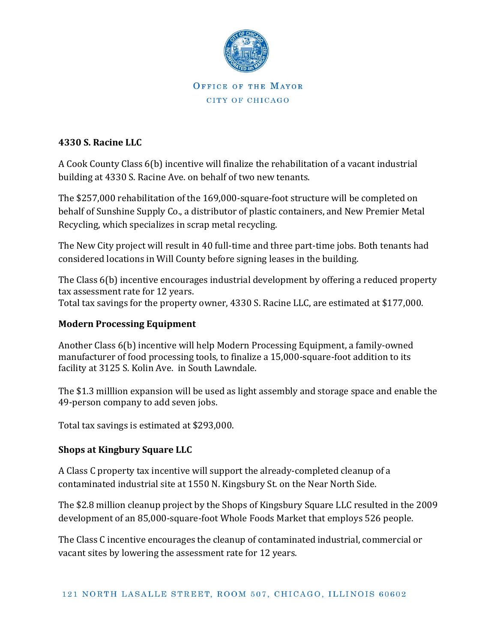

#### **4330 S. Racine LLC**

A Cook County Class 6(b) incentive will finalize the rehabilitation of a vacant industrial building at 4330 S. Racine Ave. on behalf of two new tenants.

The \$257,000 rehabilitation of the 169,000-square-foot structure will be completed on behalf of Sunshine Supply Co., a distributor of plastic containers, and New Premier Metal Recycling, which specializes in scrap metal recycling.

The New City project will result in 40 full-time and three part-time jobs. Both tenants had considered locations in Will County before signing leases in the building.

The Class 6(b) incentive encourages industrial development by offering a reduced property tax assessment rate for 12 years. Total tax savings for the property owner, 4330 S. Racine LLC, are estimated at \$177,000.

#### **Modern Processing Equipment**

Another Class 6(b) incentive will help Modern Processing Equipment, a family-owned manufacturer of food processing tools, to finalize a 15,000-square-foot addition to its facility at 3125 S. Kolin Ave. in South Lawndale.

The \$1.3 milllion expansion will be used as light assembly and storage space and enable the 49-person company to add seven jobs.

Total tax savings is estimated at \$293,000.

## **Shops at Kingbury Square LLC**

A Class C property tax incentive will support the already-completed cleanup of a contaminated industrial site at 1550 N. Kingsbury St. on the Near North Side.

The \$2.8 million cleanup project by the Shops of Kingsbury Square LLC resulted in the 2009 development of an 85,000-square-foot Whole Foods Market that employs 526 people.

The Class C incentive encourages the cleanup of contaminated industrial, commercial or vacant sites by lowering the assessment rate for 12 years.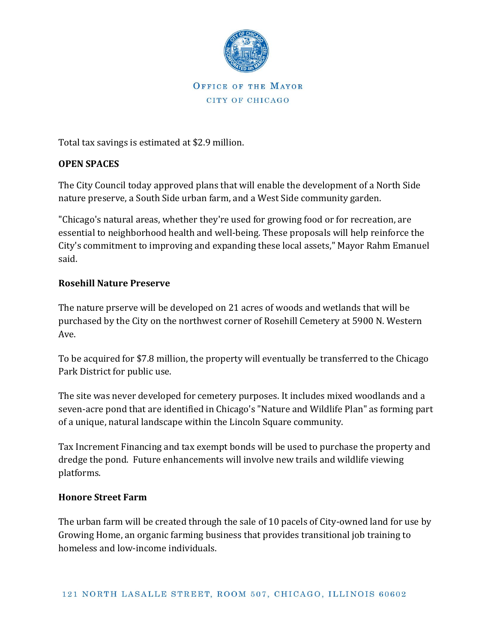

Total tax savings is estimated at \$2.9 million.

#### **OPEN SPACES**

The City Council today approved plans that will enable the development of a North Side nature preserve, a South Side urban farm, and a West Side community garden.

"Chicago's natural areas, whether they're used for growing food or for recreation, are essential to neighborhood health and well-being. These proposals will help reinforce the City's commitment to improving and expanding these local assets," Mayor Rahm Emanuel said.

#### **Rosehill Nature Preserve**

The nature prserve will be developed on 21 acres of woods and wetlands that will be purchased by the City on the northwest corner of Rosehill Cemetery at 5900 N. Western Ave.

To be acquired for \$7.8 million, the property will eventually be transferred to the Chicago Park District for public use.

The site was never developed for cemetery purposes. It includes mixed woodlands and a seven-acre pond that are identified in Chicago's "Nature and Wildlife Plan" as forming part of a unique, natural landscape within the Lincoln Square community.

Tax Increment Financing and tax exempt bonds will be used to purchase the property and dredge the pond. Future enhancements will involve new trails and wildlife viewing platforms.

#### **Honore Street Farm**

The urban farm will be created through the sale of 10 pacels of City-owned land for use by Growing Home, an organic farming business that provides transitional job training to homeless and low-income individuals.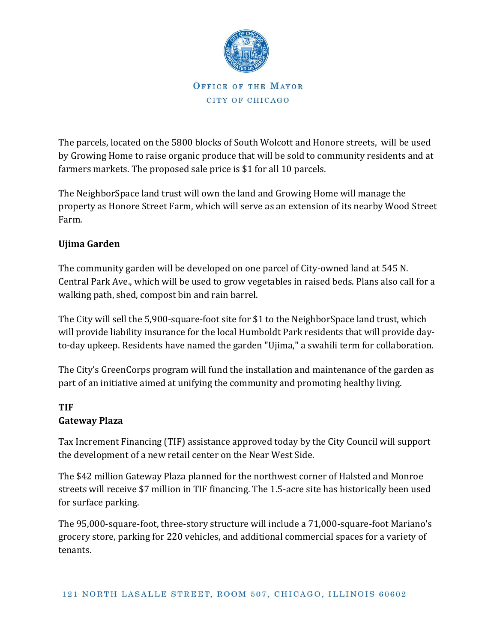

The parcels, located on the 5800 blocks of South Wolcott and Honore streets, will be used by Growing Home to raise organic produce that will be sold to community residents and at farmers markets. The proposed sale price is \$1 for all 10 parcels.

The NeighborSpace land trust will own the land and Growing Home will manage the property as Honore Street Farm, which will serve as an extension of its nearby Wood Street Farm.

## **Ujima Garden**

The community garden will be developed on one parcel of City-owned land at 545 N. Central Park Ave., which will be used to grow vegetables in raised beds. Plans also call for a walking path, shed, compost bin and rain barrel.

The City will sell the 5,900-square-foot site for \$1 to the NeighborSpace land trust, which will provide liability insurance for the local Humboldt Park residents that will provide dayto-day upkeep. Residents have named the garden "Ujima," a swahili term for collaboration.

The City's GreenCorps program will fund the installation and maintenance of the garden as part of an initiative aimed at unifying the community and promoting healthy living.

#### **TIF Gateway Plaza**

Tax Increment Financing (TIF) assistance approved today by the City Council will support the development of a new retail center on the Near West Side.

The \$42 million Gateway Plaza planned for the northwest corner of Halsted and Monroe streets will receive \$7 million in TIF financing. The 1.5-acre site has historically been used for surface parking.

The 95,000-square-foot, three-story structure will include a 71,000-square-foot Mariano's grocery store, parking for 220 vehicles, and additional commercial spaces for a variety of tenants.